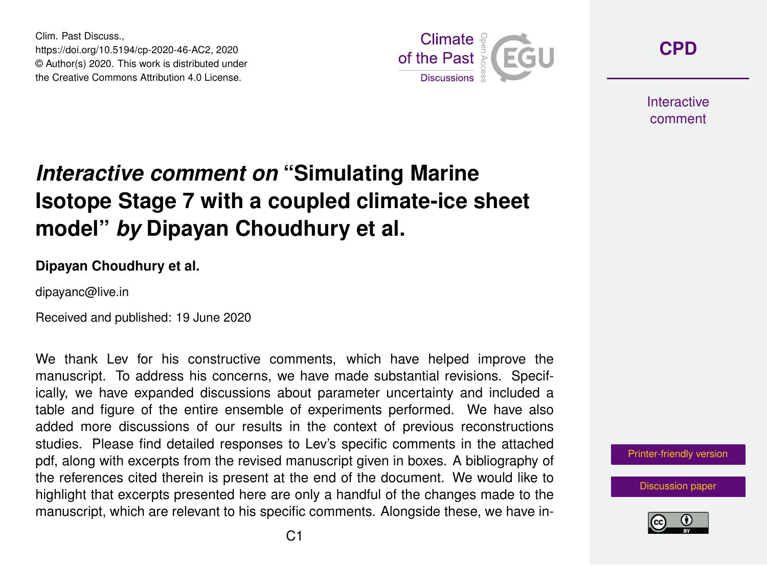Clim. Past Discuss., https://doi.org/10.5194/cp-2020-46-AC2, 2020 © Author(s) 2020. This work is distributed under the Creative Commons Attribution 4.0 License.



**[CPD](https://www.clim-past-discuss.net/)**

**Interactive** comment

## *Interactive comment on* **"Simulating Marine Isotope Stage 7 with a coupled climate-ice sheet model"** *by* **Dipayan Choudhury et al.**

## **Dipayan Choudhury et al.**

dipayanc@live.in

Received and published: 19 June 2020

We thank Lev for his constructive comments, which have helped improve the manuscript. To address his concerns, we have made substantial revisions. Specifically, we have expanded discussions about parameter uncertainty and included a table and figure of the entire ensemble of experiments performed. We have also added more discussions of our results in the context of previous reconstructions studies. Please find detailed responses to Lev's specific comments in the attached pdf, along with excerpts from the revised manuscript given in boxes. A bibliography of the references cited therein is present at the end of the document. We would like to highlight that excerpts presented here are only a handful of the changes made to the manuscript, which are relevant to his specific comments. Alongside these, we have in-

[Printer-friendly version](https://www.clim-past-discuss.net/cp-2020-46/cp-2020-46-AC2-print.pdf)

[Discussion paper](https://www.clim-past-discuss.net/cp-2020-46)